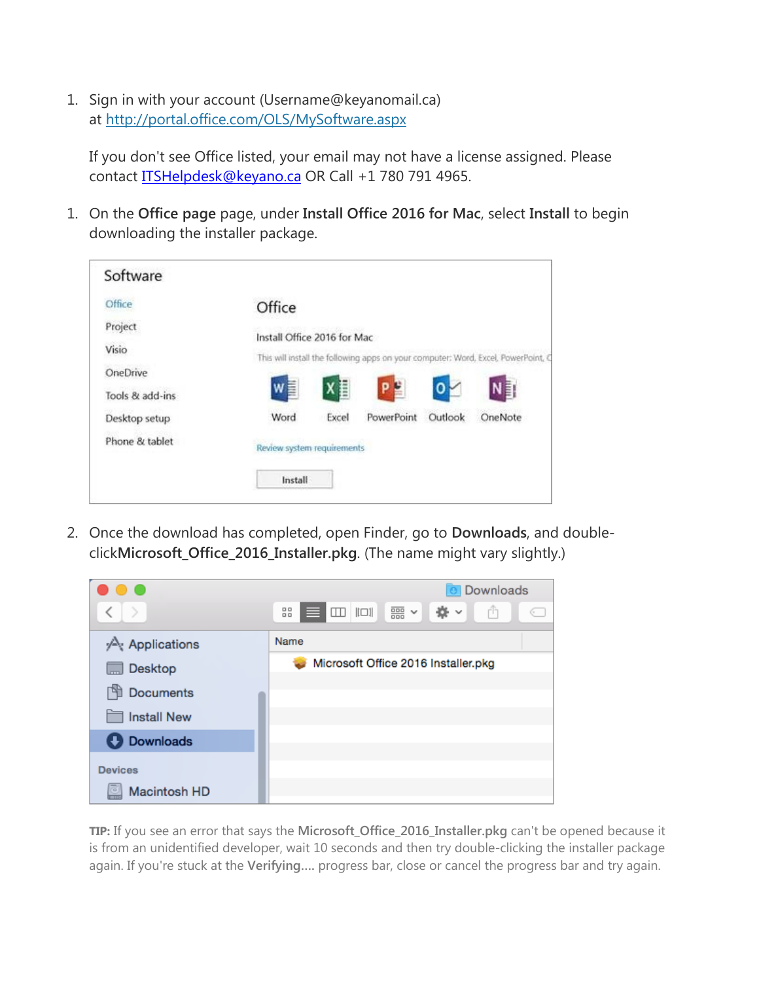1. Sign in with your account (Username@keyanomail.ca) at <http://portal.office.com/OLS/MySoftware.aspx>

If you don't see Office listed, your email may not have a license assigned. Please contact **ITSHelpdesk@keyano.ca** OR Call +1 780 791 4965.

1. On the **Office page** page, under **Install Office 2016 for Mac**, select **Install** to begin downloading the installer package.

| Software        |                             |       |                   |         |                                                                                   |
|-----------------|-----------------------------|-------|-------------------|---------|-----------------------------------------------------------------------------------|
| Office          | Office                      |       |                   |         |                                                                                   |
| Project         | Install Office 2016 for Mac |       |                   |         |                                                                                   |
| Visio           |                             |       |                   |         | This will install the following apps on your computer: Word, Excel, PowerPoint, C |
| OneDrive        |                             |       |                   |         |                                                                                   |
| Tools & add-ins | W<br>Ē                      | X目    | P.                |         | N≣⊺                                                                               |
| Desktop setup   | Word                        | Excel | <b>PowerPoint</b> | Outlook | OneNote                                                                           |
| Phone & tablet  | Review system requirements  |       |                   |         |                                                                                   |
|                 | Install                     |       |                   |         |                                                                                   |

2. Once the download has completed, open Finder, go to **Downloads**, and doubleclick**Microsoft\_Office\_2016\_Installer.pkg**. (The name might vary slightly.)



**TIP:** If you see an error that says the **Microsoft\_Office\_2016\_Installer.pkg** can't be opened because it is from an unidentified developer, wait 10 seconds and then try double-clicking the installer package again. If you're stuck at the **Verifying….** progress bar, close or cancel the progress bar and try again.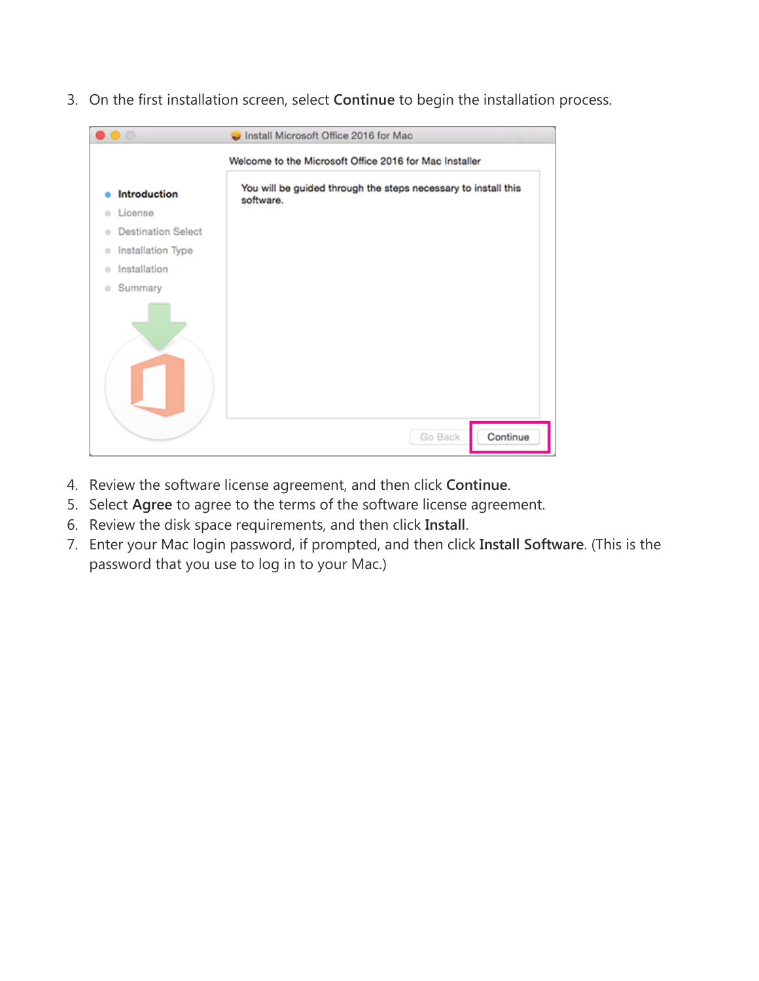3. On the first installation screen, select **Continue** to begin the installation process.

| $\bullet$ $\circ$              | Install Microsoft Office 2016 for Mac                                       |
|--------------------------------|-----------------------------------------------------------------------------|
|                                | Welcome to the Microsoft Office 2016 for Mac Installer                      |
| <b>Introduction</b>            | You will be guided through the steps necessary to install this<br>software. |
| License<br>a.                  |                                                                             |
| <b>Destination Select</b><br>٠ |                                                                             |
| Installation Type<br>$\circ$   |                                                                             |
| Installation<br>۰              |                                                                             |
| Summary<br>۰                   |                                                                             |
|                                |                                                                             |
|                                | Continue<br>Go Back                                                         |

- 4. Review the software license agreement, and then click **Continue**.
- 5. Select **Agree** to agree to the terms of the software license agreement.
- 6. Review the disk space requirements, and then click **Install**.
- 7. Enter your Mac login password, if prompted, and then click **Install Software**. (This is the password that you use to log in to your Mac.)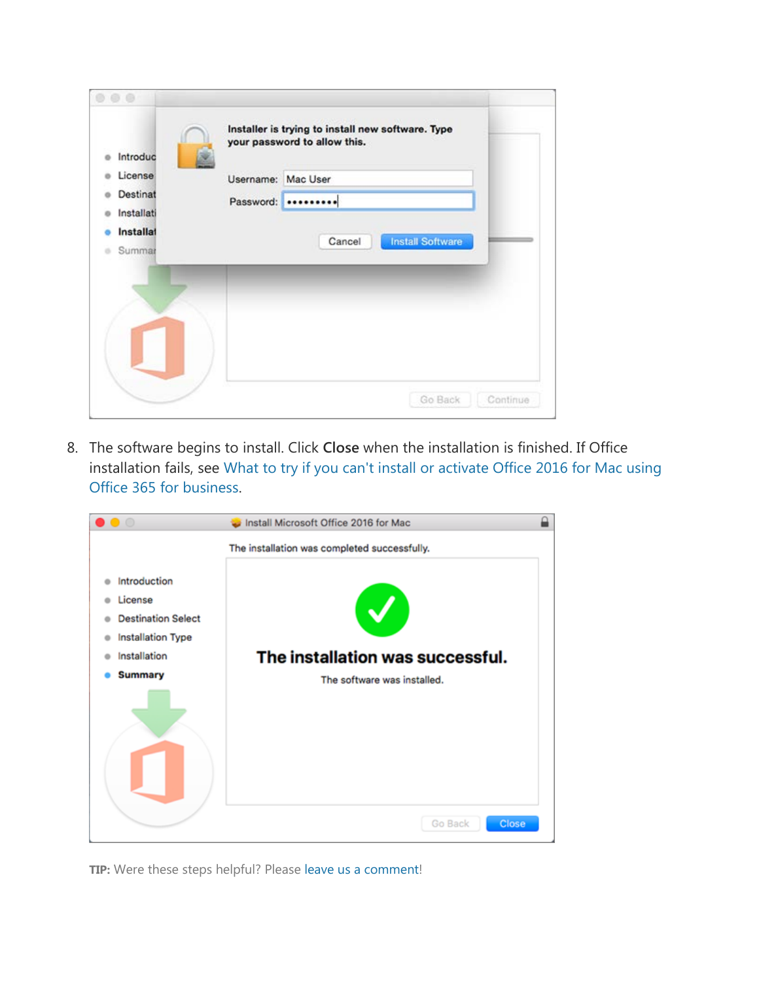| 00<br>Introduc               |                    | Installer is trying to install new software. Type<br>your password to allow this. |
|------------------------------|--------------------|-----------------------------------------------------------------------------------|
| License                      | Username: Mac User |                                                                                   |
| Destinat<br>ó                |                    | Password:                                                                         |
| Installati<br>a<br>Installat |                    | <b>Install Software</b><br>Cancel                                                 |
| Summar<br>a.                 |                    |                                                                                   |
|                              |                    |                                                                                   |
|                              |                    |                                                                                   |
|                              |                    | Go Back<br>Continue                                                               |

8. The software begins to install. Click **Close** when the installation is finished. If Office installation fails, see What to try if you can't install or [activate Office 2016 for Mac using](https://support.office.com/en-us/article/What-to-try-if-you-cant-install-or-activate-Office-2016-for-Mac-using-Office-365-for-business-a9f9a742-d1b3-4a92-95ab-e63caaa8705c)  [Office 365 for business.](https://support.office.com/en-us/article/What-to-try-if-you-cant-install-or-activate-Office-2016-for-Mac-using-Office-365-for-business-a9f9a742-d1b3-4a92-95ab-e63caaa8705c)



**TIP:** Were these steps helpful? Please [leave us a comment!](https://support.office.com/en-us/article/Install-Office-on-your-PC-or-Mac-4414eaaf-0478-48be-9c42-23adc4716658?ui=en-US&rs=en-US&ad=US#BKMK_CommentMacBus)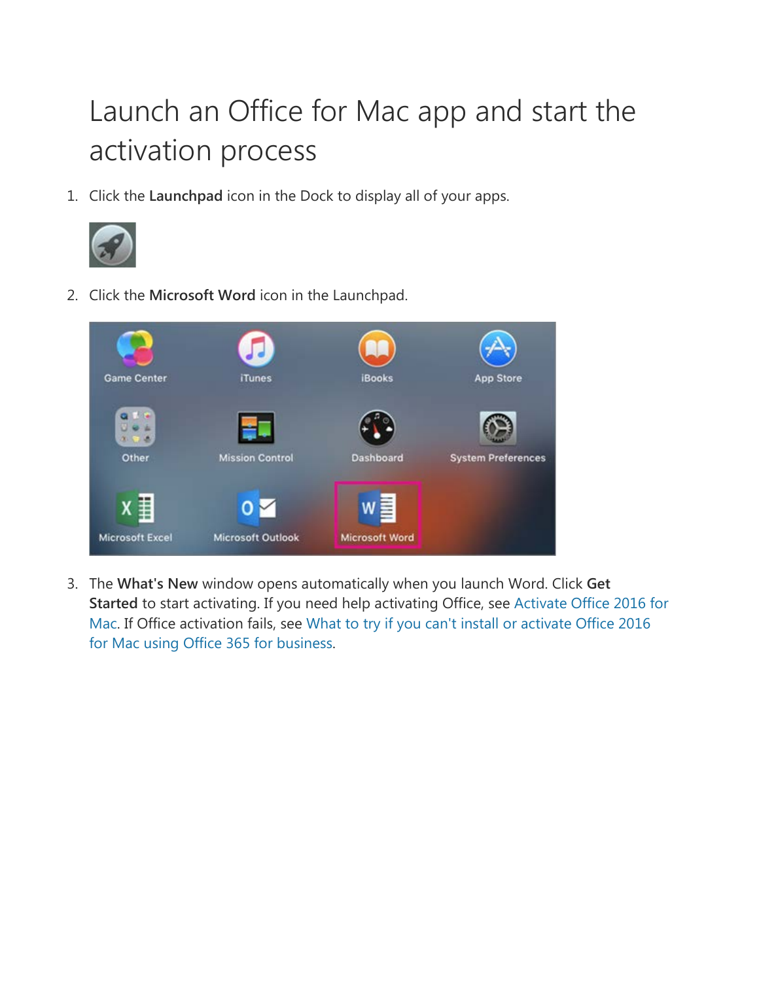# Launch an Office for Mac app and start the activation process

1. Click the **Launchpad** icon in the Dock to display all of your apps.



2. Click the **Microsoft Word** icon in the Launchpad.



3. The **What's New** window opens automatically when you launch Word. Click **Get Started** to start activating. If you need help activating Office, see [Activate Office 2016 for](https://support.office.com/en-us/article/Activate-Office-2016-for-Mac-7f6646b1-bb14-422a-9ad4-a53410fcefb2)  [Mac.](https://support.office.com/en-us/article/Activate-Office-2016-for-Mac-7f6646b1-bb14-422a-9ad4-a53410fcefb2) If Office activation fails, see [What to try if you can't install or activate Office 2016](https://support.office.com/en-us/article/What-to-try-if-you-cant-install-or-activate-Office-2016-for-Mac-using-Office-365-for-business-a9f9a742-d1b3-4a92-95ab-e63caaa8705c)  [for Mac using Office 365 for business.](https://support.office.com/en-us/article/What-to-try-if-you-cant-install-or-activate-Office-2016-for-Mac-using-Office-365-for-business-a9f9a742-d1b3-4a92-95ab-e63caaa8705c)